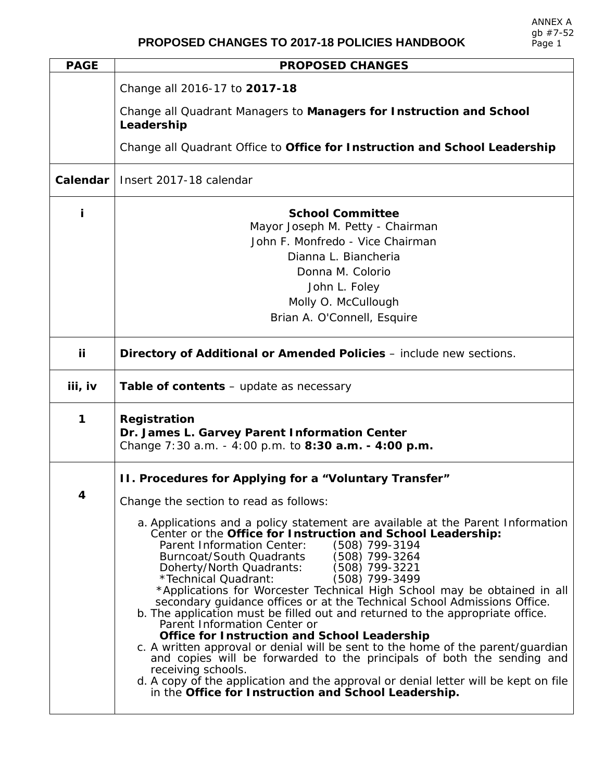| <b>PAGE</b> | <b>PROPOSED CHANGES</b>                                                                                                                                                                                                                                                                                                                                                                                                                                                                                                                                                                                                                                                                                                                                                                                                                                                                                                                                                                               |
|-------------|-------------------------------------------------------------------------------------------------------------------------------------------------------------------------------------------------------------------------------------------------------------------------------------------------------------------------------------------------------------------------------------------------------------------------------------------------------------------------------------------------------------------------------------------------------------------------------------------------------------------------------------------------------------------------------------------------------------------------------------------------------------------------------------------------------------------------------------------------------------------------------------------------------------------------------------------------------------------------------------------------------|
|             | Change all 2016-17 to 2017-18                                                                                                                                                                                                                                                                                                                                                                                                                                                                                                                                                                                                                                                                                                                                                                                                                                                                                                                                                                         |
|             | Change all Quadrant Managers to Managers for Instruction and School<br>Leadership                                                                                                                                                                                                                                                                                                                                                                                                                                                                                                                                                                                                                                                                                                                                                                                                                                                                                                                     |
|             | Change all Quadrant Office to Office for Instruction and School Leadership                                                                                                                                                                                                                                                                                                                                                                                                                                                                                                                                                                                                                                                                                                                                                                                                                                                                                                                            |
| Calendar    | Insert 2017-18 calendar                                                                                                                                                                                                                                                                                                                                                                                                                                                                                                                                                                                                                                                                                                                                                                                                                                                                                                                                                                               |
| i           | <b>School Committee</b><br>Mayor Joseph M. Petty - Chairman<br>John F. Monfredo - Vice Chairman                                                                                                                                                                                                                                                                                                                                                                                                                                                                                                                                                                                                                                                                                                                                                                                                                                                                                                       |
|             | Dianna L. Biancheria                                                                                                                                                                                                                                                                                                                                                                                                                                                                                                                                                                                                                                                                                                                                                                                                                                                                                                                                                                                  |
|             | Donna M. Colorio                                                                                                                                                                                                                                                                                                                                                                                                                                                                                                                                                                                                                                                                                                                                                                                                                                                                                                                                                                                      |
|             | John L. Foley                                                                                                                                                                                                                                                                                                                                                                                                                                                                                                                                                                                                                                                                                                                                                                                                                                                                                                                                                                                         |
|             | Molly O. McCullough                                                                                                                                                                                                                                                                                                                                                                                                                                                                                                                                                                                                                                                                                                                                                                                                                                                                                                                                                                                   |
|             | Brian A. O'Connell, Esquire                                                                                                                                                                                                                                                                                                                                                                                                                                                                                                                                                                                                                                                                                                                                                                                                                                                                                                                                                                           |
| iί          | Directory of Additional or Amended Policies - include new sections.                                                                                                                                                                                                                                                                                                                                                                                                                                                                                                                                                                                                                                                                                                                                                                                                                                                                                                                                   |
| iii, iv     | <b>Table of contents</b> – update as necessary                                                                                                                                                                                                                                                                                                                                                                                                                                                                                                                                                                                                                                                                                                                                                                                                                                                                                                                                                        |
| 1           | <b>Registration</b><br>Dr. James L. Garvey Parent Information Center<br>Change 7:30 a.m. - 4:00 p.m. to 8:30 a.m. - 4:00 p.m.                                                                                                                                                                                                                                                                                                                                                                                                                                                                                                                                                                                                                                                                                                                                                                                                                                                                         |
|             | II. Procedures for Applying for a "Voluntary Transfer"                                                                                                                                                                                                                                                                                                                                                                                                                                                                                                                                                                                                                                                                                                                                                                                                                                                                                                                                                |
| 4           | Change the section to read as follows:                                                                                                                                                                                                                                                                                                                                                                                                                                                                                                                                                                                                                                                                                                                                                                                                                                                                                                                                                                |
|             | a. Applications and a policy statement are available at the Parent Information<br>Center or the Office for Instruction and School Leadership:<br>(508) 799-3194<br>Parent Information Center:<br>(508) 799-3264<br>Burncoat/South Quadrants<br>Doherty/North Quadrants:<br>(508) 799-3221<br>(508) 799-3499<br>*Technical Quadrant:<br>*Applications for Worcester Technical High School may be obtained in all<br>secondary guidance offices or at the Technical School Admissions Office.<br>b. The application must be filled out and returned to the appropriate office.<br>Parent Information Center or<br><b>Office for Instruction and School Leadership</b><br>c. A written approval or denial will be sent to the home of the parent/guardian<br>and copies will be forwarded to the principals of both the sending and<br>receiving schools.<br>d. A copy of the application and the approval or denial letter will be kept on file<br>in the Office for Instruction and School Leadership. |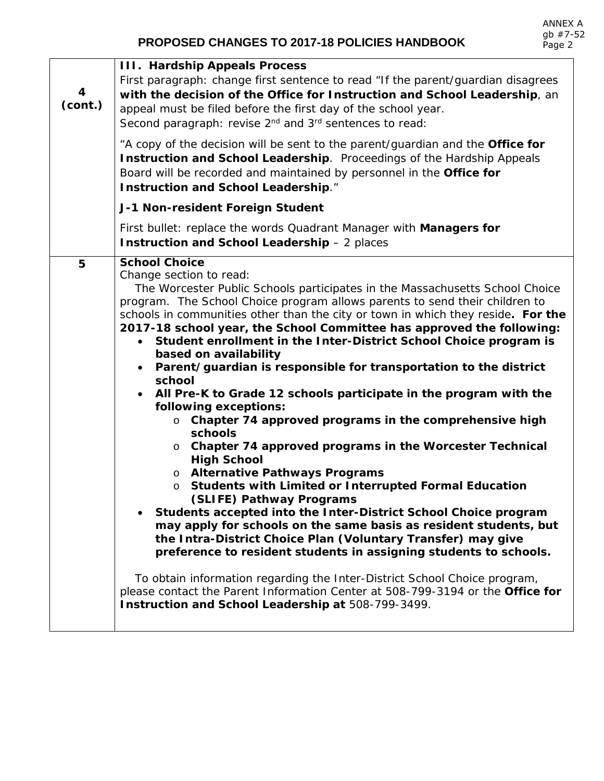## **PROPOSED CHANGES TO 2017-18 POLICIES HANDBOOK**

| 4<br>(cont.) | <b>III. Hardship Appeals Process</b><br>First paragraph: change first sentence to read "If the parent/guardian disagrees<br>with the decision of the Office for Instruction and School Leadership, an<br>appeal must be filed before the first day of the school year.<br>Second paragraph: revise 2 <sup>nd</sup> and 3 <sup>rd</sup> sentences to read:<br>"A copy of the decision will be sent to the parent/guardian and the Office for<br>Instruction and School Leadership. Proceedings of the Hardship Appeals<br>Board will be recorded and maintained by personnel in the Office for<br><b>Instruction and School Leadership."</b><br>J-1 Non-resident Foreign Student<br>First bullet: replace the words Quadrant Manager with Managers for<br><b>Instruction and School Leadership - 2 places</b>                                                                                                                                                                                                                                                                                                                                                                                                                                                                                                                                                                                                                                                  |
|--------------|---------------------------------------------------------------------------------------------------------------------------------------------------------------------------------------------------------------------------------------------------------------------------------------------------------------------------------------------------------------------------------------------------------------------------------------------------------------------------------------------------------------------------------------------------------------------------------------------------------------------------------------------------------------------------------------------------------------------------------------------------------------------------------------------------------------------------------------------------------------------------------------------------------------------------------------------------------------------------------------------------------------------------------------------------------------------------------------------------------------------------------------------------------------------------------------------------------------------------------------------------------------------------------------------------------------------------------------------------------------------------------------------------------------------------------------------------------------|
| 5            | <b>School Choice</b>                                                                                                                                                                                                                                                                                                                                                                                                                                                                                                                                                                                                                                                                                                                                                                                                                                                                                                                                                                                                                                                                                                                                                                                                                                                                                                                                                                                                                                          |
|              | Change section to read:<br>The Worcester Public Schools participates in the Massachusetts School Choice<br>program. The School Choice program allows parents to send their children to<br>schools in communities other than the city or town in which they reside. For the<br>2017-18 school year, the School Committee has approved the following:<br>Student enrollment in the Inter-District School Choice program is<br>based on availability<br>Parent/guardian is responsible for transportation to the district<br>$\bullet$<br>school<br>All Pre-K to Grade 12 schools participate in the program with the<br>following exceptions:<br>Chapter 74 approved programs in the comprehensive high<br>O<br>schools<br>Chapter 74 approved programs in the Worcester Technical<br>$\circ$<br><b>High School</b><br>o Alternative Pathways Programs<br><b>Students with Limited or Interrupted Formal Education</b><br>$\circ$<br>(SLIFE) Pathway Programs<br>Students accepted into the Inter-District School Choice program<br>may apply for schools on the same basis as resident students, but<br>the Intra-District Choice Plan (Voluntary Transfer) may give<br>preference to resident students in assigning students to schools.<br>To obtain information regarding the Inter-District School Choice program,<br>please contact the Parent Information Center at 508-799-3194 or the Office for<br>Instruction and School Leadership at 508-799-3499. |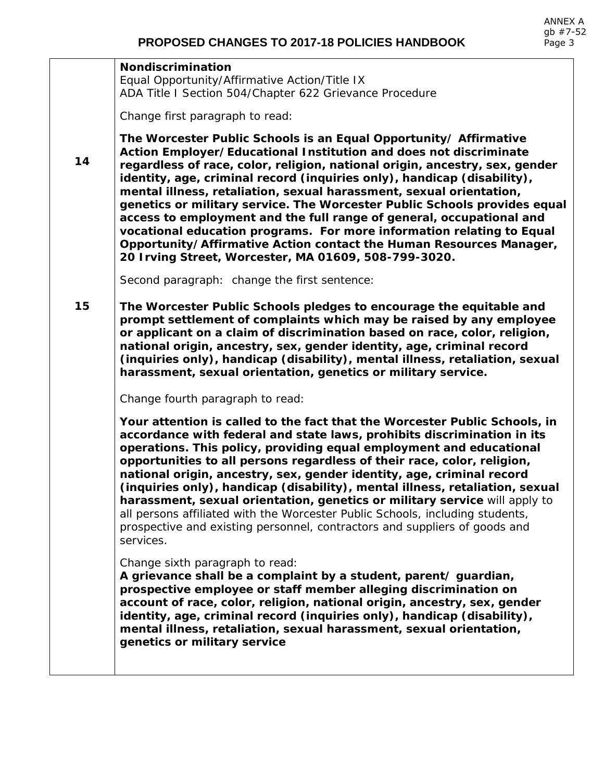## **Nondiscrimination**

Equal Opportunity/Affirmative Action/Title IX ADA Title I Section 504/Chapter 622 Grievance Procedure

Change first paragraph to read:

*The Worcester Public Schools is an Equal Opportunity/ Affirmative Action Employer/Educational Institution and does not discriminate regardless of race, color, religion, national origin, ancestry, sex, gender identity, age, criminal record (inquiries only), handicap (disability), mental illness, retaliation, sexual harassment, sexual orientation, genetics or military service. The Worcester Public Schools provides equal access to employment and the full range of general, occupational and vocational education programs. For more information relating to Equal Opportunity/Affirmative Action contact the Human Resources Manager, 20 Irving Street, Worcester, MA 01609, 508-799-3020.*

Second paragraph: change the first sentence:

**15**  *The Worcester Public Schools pledges to encourage the equitable and prompt settlement of complaints which may be raised by any employee or applicant on a claim of discrimination based on race, color, religion, national origin, ancestry, sex, gender identity, age, criminal record (inquiries only), handicap (disability), mental illness, retaliation, sexual harassment, sexual orientation, genetics or military service.*

Change fourth paragraph to read:

*Your attention is called to the fact that the Worcester Public Schools, in accordance with federal and state laws, prohibits discrimination in its operations. This policy, providing equal employment and educational opportunities to all persons regardless of their race, color, religion, national origin, ancestry, sex, gender identity, age, criminal record (inquiries only), handicap (disability), mental illness, retaliation, sexual harassment, sexual orientation, genetics or military service* will apply to all persons affiliated with the Worcester Public Schools, including students, prospective and existing personnel, contractors and suppliers of goods and services.

Change sixth paragraph to read:

*A grievance shall be a complaint by a student, parent/ guardian, prospective employee or staff member alleging discrimination on account of race, color, religion, national origin, ancestry, sex, gender identity, age, criminal record (inquiries only), handicap (disability), mental illness, retaliation, sexual harassment, sexual orientation, genetics or military service*

**14**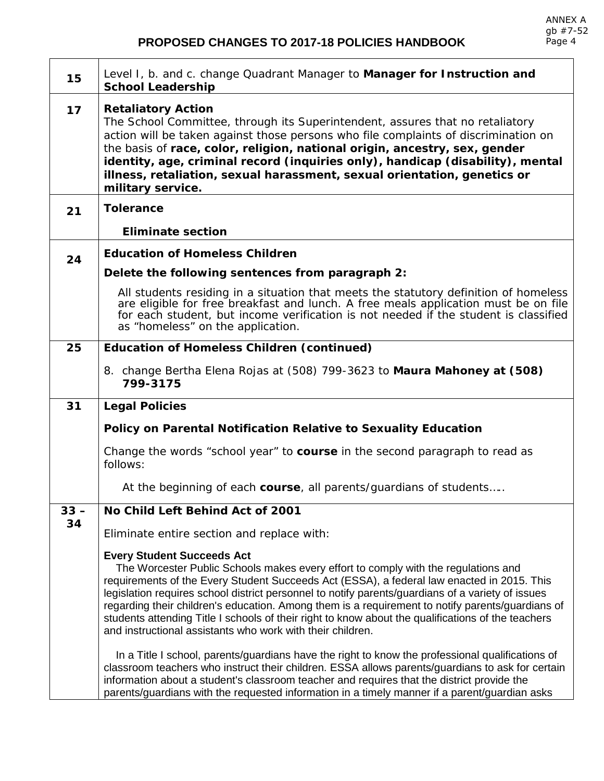$\overline{\phantom{a}}$ 

## **PROPOSED CHANGES TO 2017-18 POLICIES HANDBOOK**

| 15     | Level I, b. and c. change Quadrant Manager to Manager for Instruction and<br><b>School Leadership</b>                                                                                                                                                                                                                                                                                                                                                                                                                                                                                              |
|--------|----------------------------------------------------------------------------------------------------------------------------------------------------------------------------------------------------------------------------------------------------------------------------------------------------------------------------------------------------------------------------------------------------------------------------------------------------------------------------------------------------------------------------------------------------------------------------------------------------|
| 17     | <b>Retaliatory Action</b><br>The School Committee, through its Superintendent, assures that no retaliatory<br>action will be taken against those persons who file complaints of discrimination on<br>the basis of race, color, religion, national origin, ancestry, sex, gender<br>identity, age, criminal record (inquiries only), handicap (disability), mental<br>illness, retaliation, sexual harassment, sexual orientation, genetics or<br>military service.                                                                                                                                 |
| 21     | <b>Tolerance</b>                                                                                                                                                                                                                                                                                                                                                                                                                                                                                                                                                                                   |
|        | <b>Eliminate section</b>                                                                                                                                                                                                                                                                                                                                                                                                                                                                                                                                                                           |
| 24     | <b>Education of Homeless Children</b>                                                                                                                                                                                                                                                                                                                                                                                                                                                                                                                                                              |
|        | Delete the following sentences from paragraph 2:                                                                                                                                                                                                                                                                                                                                                                                                                                                                                                                                                   |
|        | All students residing in a situation that meets the statutory definition of homeless<br>are eligible for free breakfast and lunch. A free meals application must be on file<br>for each student, but income verification is not needed if the student is classified<br>as "homeless" on the application.                                                                                                                                                                                                                                                                                           |
| 25     | <b>Education of Homeless Children (continued)</b>                                                                                                                                                                                                                                                                                                                                                                                                                                                                                                                                                  |
|        | 8. change Bertha Elena Rojas at (508) 799-3623 to Maura Mahoney at (508)<br>799-3175                                                                                                                                                                                                                                                                                                                                                                                                                                                                                                               |
| 31     | <b>Legal Policies</b>                                                                                                                                                                                                                                                                                                                                                                                                                                                                                                                                                                              |
|        | Policy on Parental Notification Relative to Sexuality Education                                                                                                                                                                                                                                                                                                                                                                                                                                                                                                                                    |
|        | Change the words "school year" to course in the second paragraph to read as<br>follows:                                                                                                                                                                                                                                                                                                                                                                                                                                                                                                            |
|        | At the beginning of each course, all parents/guardians of students                                                                                                                                                                                                                                                                                                                                                                                                                                                                                                                                 |
| $33 -$ | No Child Left Behind Act of 2001                                                                                                                                                                                                                                                                                                                                                                                                                                                                                                                                                                   |
| 34     | Eliminate entire section and replace with:                                                                                                                                                                                                                                                                                                                                                                                                                                                                                                                                                         |
|        | <b>Every Student Succeeds Act</b><br>The Worcester Public Schools makes every effort to comply with the regulations and<br>requirements of the Every Student Succeeds Act (ESSA), a federal law enacted in 2015. This<br>legislation requires school district personnel to notify parents/guardians of a variety of issues<br>regarding their children's education. Among them is a requirement to notify parents/guardians of<br>students attending Title I schools of their right to know about the qualifications of the teachers<br>and instructional assistants who work with their children. |
|        | In a Title I school, parents/guardians have the right to know the professional qualifications of<br>classroom teachers who instruct their children. ESSA allows parents/guardians to ask for certain<br>information about a student's classroom teacher and requires that the district provide the<br>parents/guardians with the requested information in a timely manner if a parent/guardian asks                                                                                                                                                                                                |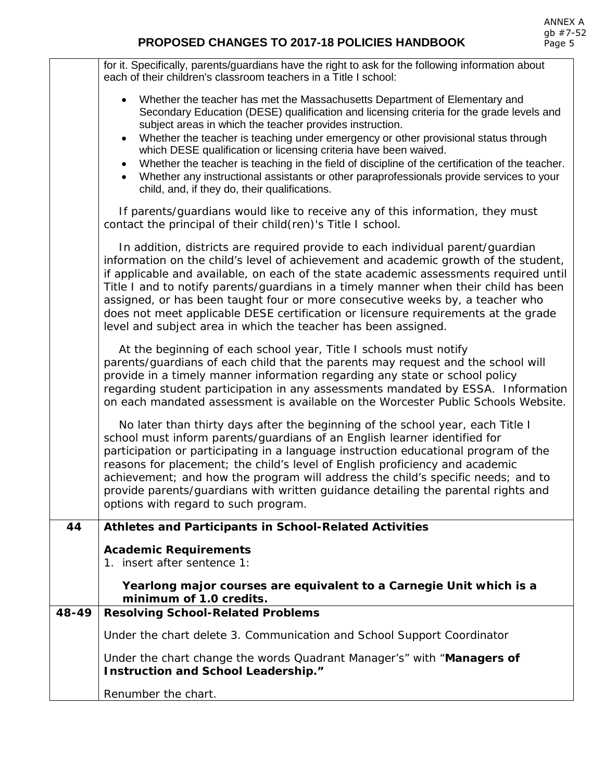|       | for it. Specifically, parents/guardians have the right to ask for the following information about<br>each of their children's classroom teachers in a Title I school:                                                                                                                                                                                                                                                                                                                                                                                                                                                                                                     |
|-------|---------------------------------------------------------------------------------------------------------------------------------------------------------------------------------------------------------------------------------------------------------------------------------------------------------------------------------------------------------------------------------------------------------------------------------------------------------------------------------------------------------------------------------------------------------------------------------------------------------------------------------------------------------------------------|
|       | • Whether the teacher has met the Massachusetts Department of Elementary and<br>Secondary Education (DESE) qualification and licensing criteria for the grade levels and<br>subject areas in which the teacher provides instruction.<br>Whether the teacher is teaching under emergency or other provisional status through<br>$\bullet$<br>which DESE qualification or licensing criteria have been waived.<br>Whether the teacher is teaching in the field of discipline of the certification of the teacher.<br>$\bullet$<br>Whether any instructional assistants or other paraprofessionals provide services to your<br>child, and, if they do, their qualifications. |
|       | If parents/guardians would like to receive any of this information, they must<br>contact the principal of their child(ren)'s Title I school.                                                                                                                                                                                                                                                                                                                                                                                                                                                                                                                              |
|       | In addition, districts are required provide to each individual parent/guardian<br>information on the child's level of achievement and academic growth of the student,<br>if applicable and available, on each of the state academic assessments required until<br>Title I and to notify parents/guardians in a timely manner when their child has been<br>assigned, or has been taught four or more consecutive weeks by, a teacher who<br>does not meet applicable DESE certification or licensure requirements at the grade<br>level and subject area in which the teacher has been assigned.                                                                           |
|       | At the beginning of each school year, Title I schools must notify<br>parents/guardians of each child that the parents may request and the school will<br>provide in a timely manner information regarding any state or school policy<br>regarding student participation in any assessments mandated by ESSA. Information<br>on each mandated assessment is available on the Worcester Public Schools Website.                                                                                                                                                                                                                                                             |
|       | No later than thirty days after the beginning of the school year, each Title I<br>school must inform parents/guardians of an English learner identified for<br>participation or participating in a language instruction educational program of the<br>reasons for placement; the child's level of English proficiency and academic<br>achievement; and how the program will address the child's specific needs; and to<br>provide parents/guardians with written guidance detailing the parental rights and<br>options with regard to such program.                                                                                                                       |
| 44    | <b>Athletes and Participants in School-Related Activities</b>                                                                                                                                                                                                                                                                                                                                                                                                                                                                                                                                                                                                             |
|       | <b>Academic Requirements</b><br>1. insert after sentence 1:                                                                                                                                                                                                                                                                                                                                                                                                                                                                                                                                                                                                               |
|       | Yearlong major courses are equivalent to a Carnegie Unit which is a<br>minimum of 1.0 credits.                                                                                                                                                                                                                                                                                                                                                                                                                                                                                                                                                                            |
| 48-49 | <b>Resolving School-Related Problems</b>                                                                                                                                                                                                                                                                                                                                                                                                                                                                                                                                                                                                                                  |
|       | Under the chart delete 3. Communication and School Support Coordinator                                                                                                                                                                                                                                                                                                                                                                                                                                                                                                                                                                                                    |
|       | Under the chart change the words Quadrant Manager's" with "Managers of<br>Instruction and School Leadership."                                                                                                                                                                                                                                                                                                                                                                                                                                                                                                                                                             |
|       | Renumber the chart.                                                                                                                                                                                                                                                                                                                                                                                                                                                                                                                                                                                                                                                       |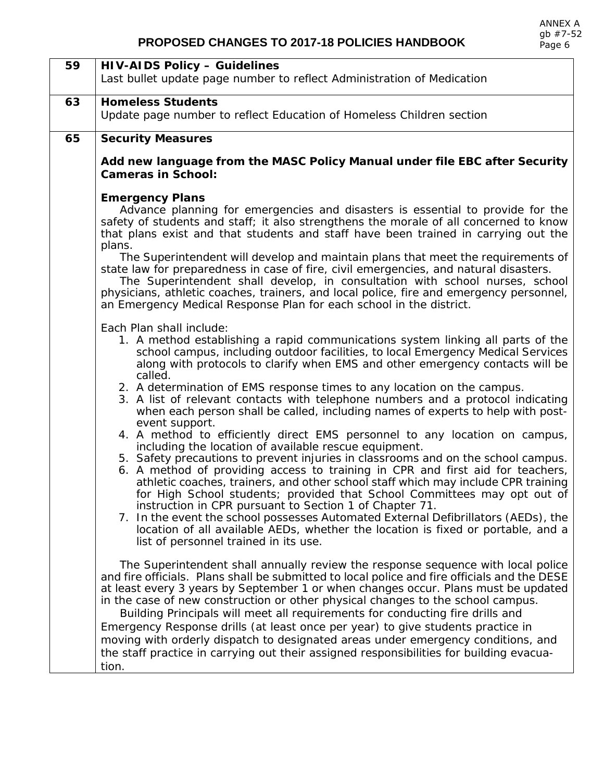| 59 | <b>HIV-AIDS Policy - Guidelines</b>                                                                                                                                         |
|----|-----------------------------------------------------------------------------------------------------------------------------------------------------------------------------|
|    | Last bullet update page number to reflect Administration of Medication                                                                                                      |
|    |                                                                                                                                                                             |
| 63 | <b>Homeless Students</b>                                                                                                                                                    |
|    | Update page number to reflect Education of Homeless Children section                                                                                                        |
| 65 | <b>Security Measures</b>                                                                                                                                                    |
|    | Add new language from the MASC Policy Manual under file EBC after Security                                                                                                  |
|    | <b>Cameras in School:</b>                                                                                                                                                   |
|    | <b>Emergency Plans</b>                                                                                                                                                      |
|    | Advance planning for emergencies and disasters is essential to provide for the                                                                                              |
|    | safety of students and staff; it also strengthens the morale of all concerned to know<br>that plans exist and that students and staff have been trained in carrying out the |
|    | plans.<br>The Superintendent will develop and maintain plans that meet the requirements of                                                                                  |
|    | state law for preparedness in case of fire, civil emergencies, and natural disasters.                                                                                       |
|    | The Superintendent shall develop, in consultation with school nurses, school                                                                                                |
|    | physicians, athletic coaches, trainers, and local police, fire and emergency personnel,                                                                                     |
|    | an Emergency Medical Response Plan for each school in the district.                                                                                                         |
|    | Each Plan shall include:                                                                                                                                                    |
|    | 1. A method establishing a rapid communications system linking all parts of the                                                                                             |
|    | school campus, including outdoor facilities, to local Emergency Medical Services                                                                                            |
|    | along with protocols to clarify when EMS and other emergency contacts will be                                                                                               |
|    | called.                                                                                                                                                                     |
|    | 2. A determination of EMS response times to any location on the campus.<br>3. A list of relevant contacts with telephone numbers and a protocol indicating                  |
|    | when each person shall be called, including names of experts to help with post-                                                                                             |
|    | event support.                                                                                                                                                              |
|    | 4. A method to efficiently direct EMS personnel to any location on campus,                                                                                                  |
|    | including the location of available rescue equipment.                                                                                                                       |
|    | 5. Safety precautions to prevent injuries in classrooms and on the school campus.                                                                                           |
|    | 6. A method of providing access to training in CPR and first aid for teachers,<br>athletic coaches, trainers, and other school staff which may include CPR training         |
|    | for High School students; provided that School Committees may opt out of                                                                                                    |
|    | instruction in CPR pursuant to Section 1 of Chapter 71.                                                                                                                     |
|    | 7. In the event the school possesses Automated External Defibrillators (AEDs), the                                                                                          |
|    | location of all available AEDs, whether the location is fixed or portable, and a                                                                                            |
|    | list of personnel trained in its use.                                                                                                                                       |
|    | The Superintendent shall annually review the response sequence with local police                                                                                            |
|    | and fire officials. Plans shall be submitted to local police and fire officials and the DESE                                                                                |
|    | at least every 3 years by September 1 or when changes occur. Plans must be updated                                                                                          |
|    | in the case of new construction or other physical changes to the school campus.                                                                                             |
|    | Building Principals will meet all requirements for conducting fire drills and                                                                                               |
|    | Emergency Response drills (at least once per year) to give students practice in                                                                                             |
|    | moving with orderly dispatch to designated areas under emergency conditions, and                                                                                            |
|    | the staff practice in carrying out their assigned responsibilities for building evacua-                                                                                     |
|    | tion.                                                                                                                                                                       |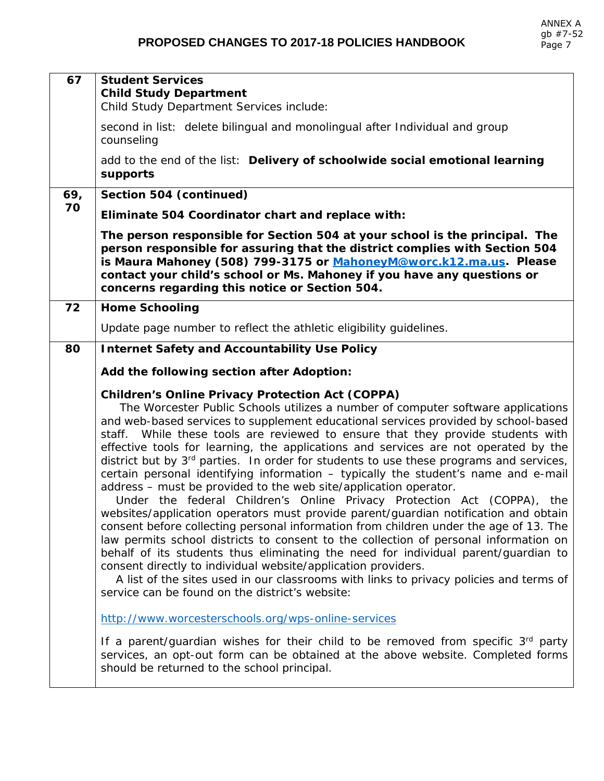| 67        | <b>Student Services</b><br><b>Child Study Department</b><br>Child Study Department Services include:                                                                                                                                                                                                                                                                                                                                                                                                                                                                                                                                                                                                                                                                                                                                                                                                                                                                                                                                                                                                                                                                                                                                                                                                                               |
|-----------|------------------------------------------------------------------------------------------------------------------------------------------------------------------------------------------------------------------------------------------------------------------------------------------------------------------------------------------------------------------------------------------------------------------------------------------------------------------------------------------------------------------------------------------------------------------------------------------------------------------------------------------------------------------------------------------------------------------------------------------------------------------------------------------------------------------------------------------------------------------------------------------------------------------------------------------------------------------------------------------------------------------------------------------------------------------------------------------------------------------------------------------------------------------------------------------------------------------------------------------------------------------------------------------------------------------------------------|
|           | second in list: delete bilingual and monolingual after Individual and group<br>counseling                                                                                                                                                                                                                                                                                                                                                                                                                                                                                                                                                                                                                                                                                                                                                                                                                                                                                                                                                                                                                                                                                                                                                                                                                                          |
|           | add to the end of the list: Delivery of schoolwide social emotional learning<br>supports                                                                                                                                                                                                                                                                                                                                                                                                                                                                                                                                                                                                                                                                                                                                                                                                                                                                                                                                                                                                                                                                                                                                                                                                                                           |
| 69,<br>70 | Section 504 (continued)                                                                                                                                                                                                                                                                                                                                                                                                                                                                                                                                                                                                                                                                                                                                                                                                                                                                                                                                                                                                                                                                                                                                                                                                                                                                                                            |
|           | Eliminate 504 Coordinator chart and replace with:                                                                                                                                                                                                                                                                                                                                                                                                                                                                                                                                                                                                                                                                                                                                                                                                                                                                                                                                                                                                                                                                                                                                                                                                                                                                                  |
|           | The person responsible for Section 504 at your school is the principal. The<br>person responsible for assuring that the district complies with Section 504<br>is Maura Mahoney (508) 799-3175 or MahoneyM@worc.k12.ma.us. Please<br>contact your child's school or Ms. Mahoney if you have any questions or<br>concerns regarding this notice or Section 504.                                                                                                                                                                                                                                                                                                                                                                                                                                                                                                                                                                                                                                                                                                                                                                                                                                                                                                                                                                      |
| 72        | <b>Home Schooling</b>                                                                                                                                                                                                                                                                                                                                                                                                                                                                                                                                                                                                                                                                                                                                                                                                                                                                                                                                                                                                                                                                                                                                                                                                                                                                                                              |
|           | Update page number to reflect the athletic eligibility guidelines.                                                                                                                                                                                                                                                                                                                                                                                                                                                                                                                                                                                                                                                                                                                                                                                                                                                                                                                                                                                                                                                                                                                                                                                                                                                                 |
| 80        | <b>Internet Safety and Accountability Use Policy</b>                                                                                                                                                                                                                                                                                                                                                                                                                                                                                                                                                                                                                                                                                                                                                                                                                                                                                                                                                                                                                                                                                                                                                                                                                                                                               |
|           | Add the following section after Adoption:                                                                                                                                                                                                                                                                                                                                                                                                                                                                                                                                                                                                                                                                                                                                                                                                                                                                                                                                                                                                                                                                                                                                                                                                                                                                                          |
|           | <b>Children's Online Privacy Protection Act (COPPA)</b><br>The Worcester Public Schools utilizes a number of computer software applications<br>and web-based services to supplement educational services provided by school-based<br>staff. While these tools are reviewed to ensure that they provide students with<br>effective tools for learning, the applications and services are not operated by the<br>district but by 3 <sup>rd</sup> parties. In order for students to use these programs and services,<br>certain personal identifying information - typically the student's name and e-mail<br>address - must be provided to the web site/application operator.<br>Under the federal Children's Online Privacy Protection Act (COPPA), the<br>websites/application operators must provide parent/guardian notification and obtain<br>consent before collecting personal information from children under the age of 13. The<br>law permits school districts to consent to the collection of personal information on<br>behalf of its students thus eliminating the need for individual parent/quardian to<br>consent directly to individual website/application providers.<br>A list of the sites used in our classrooms with links to privacy policies and terms of<br>service can be found on the district's website: |
|           | http://www.worcesterschools.org/wps-online-services                                                                                                                                                                                                                                                                                                                                                                                                                                                                                                                                                                                                                                                                                                                                                                                                                                                                                                                                                                                                                                                                                                                                                                                                                                                                                |
|           | If a parent/guardian wishes for their child to be removed from specific 3 <sup>rd</sup> party<br>services, an opt-out form can be obtained at the above website. Completed forms<br>should be returned to the school principal.                                                                                                                                                                                                                                                                                                                                                                                                                                                                                                                                                                                                                                                                                                                                                                                                                                                                                                                                                                                                                                                                                                    |